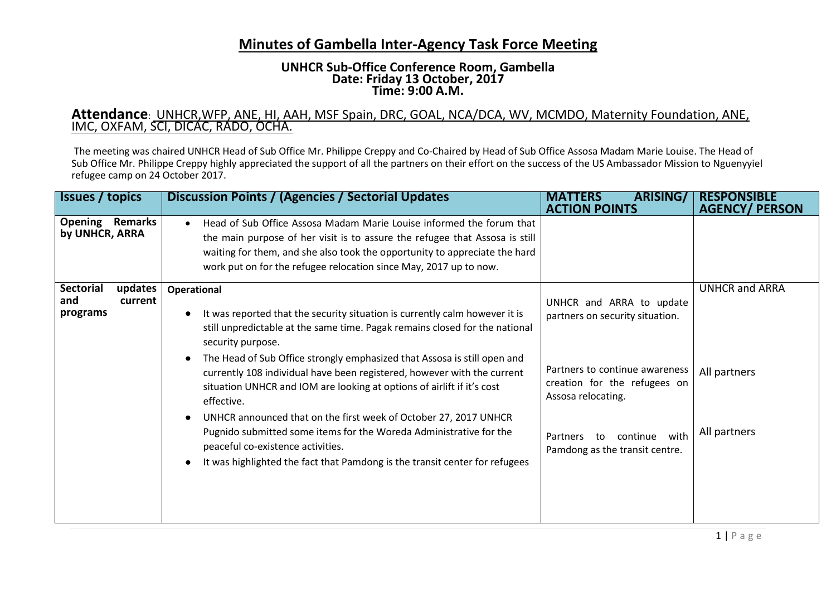## **Minutes of Gambella Inter-Agency Task Force Meeting**

## **UNHCR Sub-Office Conference Room, Gambella Date: Friday 13 October, 2017 Time: 9:00 A.M.**

## **Attendance**: UNHCR,WFP, ANE, HI, AAH, MSF Spain, DRC, GOAL, NCA/DCA, WV, MCMDO, Maternity Foundation, ANE, IMC, OXFAM, SCI, DICAC, RADO, OCHA.

The meeting was chaired UNHCR Head of Sub Office Mr. Philippe Creppy and Co-Chaired by Head of Sub Office Assosa Madam Marie Louise. The Head of Sub Office Mr. Philippe Creppy highly appreciated the support of all the partners on their effort on the success of the US Ambassador Mission to Nguenyyiel refugee camp on 24 October 2017.

| <b>Issues</b> / topics                                    | Discussion Points / (Agencies / Sectorial Updates                                                                                                                                                                                                                                                                                                                                                                                                                                                                                                                                                                                                                                                           | <b>ARISING/</b><br><b>MATTERS</b><br><b>ACTION POINTS</b>                                                                                                                                                                          | <b>RESPONSIBLE</b><br><b>AGENCY/ PERSON</b>           |
|-----------------------------------------------------------|-------------------------------------------------------------------------------------------------------------------------------------------------------------------------------------------------------------------------------------------------------------------------------------------------------------------------------------------------------------------------------------------------------------------------------------------------------------------------------------------------------------------------------------------------------------------------------------------------------------------------------------------------------------------------------------------------------------|------------------------------------------------------------------------------------------------------------------------------------------------------------------------------------------------------------------------------------|-------------------------------------------------------|
| <b>Opening Remarks</b><br>by UNHCR, ARRA                  | Head of Sub Office Assosa Madam Marie Louise informed the forum that<br>$\bullet$<br>the main purpose of her visit is to assure the refugee that Assosa is still<br>waiting for them, and she also took the opportunity to appreciate the hard<br>work put on for the refugee relocation since May, 2017 up to now.                                                                                                                                                                                                                                                                                                                                                                                         |                                                                                                                                                                                                                                    |                                                       |
| <b>Sectorial</b><br>updates<br>and<br>current<br>programs | Operational<br>It was reported that the security situation is currently calm however it is<br>still unpredictable at the same time. Pagak remains closed for the national<br>security purpose.<br>The Head of Sub Office strongly emphasized that Assosa is still open and<br>currently 108 individual have been registered, however with the current<br>situation UNHCR and IOM are looking at options of airlift if it's cost<br>effective.<br>UNHCR announced that on the first week of October 27, 2017 UNHCR<br>Pugnido submitted some items for the Woreda Administrative for the<br>peaceful co-existence activities.<br>It was highlighted the fact that Pamdong is the transit center for refugees | UNHCR and ARRA to update<br>partners on security situation.<br>Partners to continue awareness<br>creation for the refugees on<br>Assosa relocating.<br>with<br>continue<br><b>Partners</b><br>to<br>Pamdong as the transit centre. | <b>UNHCR and ARRA</b><br>All partners<br>All partners |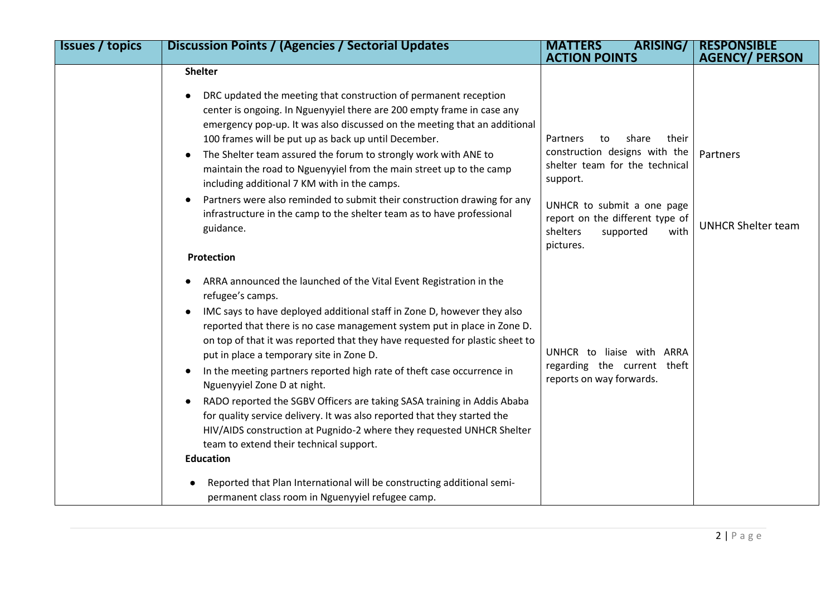| <b>Issues / topics</b> | <b>Discussion Points / (Agencies / Sectorial Updates)</b>                                                                                                                                                                                                                                                                                                                                                                                                                                                                                                                                                                                                                                                                                                                                                   | <b>MATTERS</b><br><b>ARISING/</b><br><b>ACTION POINTS</b>                                                                                                                                                                      | <b>RESPONSIBLE</b><br><b>AGENCY/ PERSON</b> |
|------------------------|-------------------------------------------------------------------------------------------------------------------------------------------------------------------------------------------------------------------------------------------------------------------------------------------------------------------------------------------------------------------------------------------------------------------------------------------------------------------------------------------------------------------------------------------------------------------------------------------------------------------------------------------------------------------------------------------------------------------------------------------------------------------------------------------------------------|--------------------------------------------------------------------------------------------------------------------------------------------------------------------------------------------------------------------------------|---------------------------------------------|
|                        | <b>Shelter</b>                                                                                                                                                                                                                                                                                                                                                                                                                                                                                                                                                                                                                                                                                                                                                                                              |                                                                                                                                                                                                                                |                                             |
|                        | DRC updated the meeting that construction of permanent reception<br>center is ongoing. In Nguenyyiel there are 200 empty frame in case any<br>emergency pop-up. It was also discussed on the meeting that an additional<br>100 frames will be put up as back up until December.<br>The Shelter team assured the forum to strongly work with ANE to<br>maintain the road to Nguenyyiel from the main street up to the camp<br>including additional 7 KM with in the camps.<br>Partners were also reminded to submit their construction drawing for any<br>$\bullet$<br>infrastructure in the camp to the shelter team as to have professional<br>guidance.                                                                                                                                                   | Partners<br>share<br>their<br>to<br>construction designs with the<br>shelter team for the technical<br>support.<br>UNHCR to submit a one page<br>report on the different type of<br>shelters<br>supported<br>with<br>pictures. | Partners<br><b>UNHCR Shelter team</b>       |
|                        | Protection                                                                                                                                                                                                                                                                                                                                                                                                                                                                                                                                                                                                                                                                                                                                                                                                  |                                                                                                                                                                                                                                |                                             |
|                        | ARRA announced the launched of the Vital Event Registration in the<br>$\bullet$<br>refugee's camps.<br>IMC says to have deployed additional staff in Zone D, however they also<br>$\bullet$<br>reported that there is no case management system put in place in Zone D.<br>on top of that it was reported that they have requested for plastic sheet to<br>put in place a temporary site in Zone D.<br>In the meeting partners reported high rate of theft case occurrence in<br>Nguenyyiel Zone D at night.<br>RADO reported the SGBV Officers are taking SASA training in Addis Ababa<br>for quality service delivery. It was also reported that they started the<br>HIV/AIDS construction at Pugnido-2 where they requested UNHCR Shelter<br>team to extend their technical support.<br><b>Education</b> | UNHCR to liaise with ARRA<br>regarding the current theft<br>reports on way forwards.                                                                                                                                           |                                             |
|                        | Reported that Plan International will be constructing additional semi-<br>permanent class room in Nguenyyiel refugee camp.                                                                                                                                                                                                                                                                                                                                                                                                                                                                                                                                                                                                                                                                                  |                                                                                                                                                                                                                                |                                             |